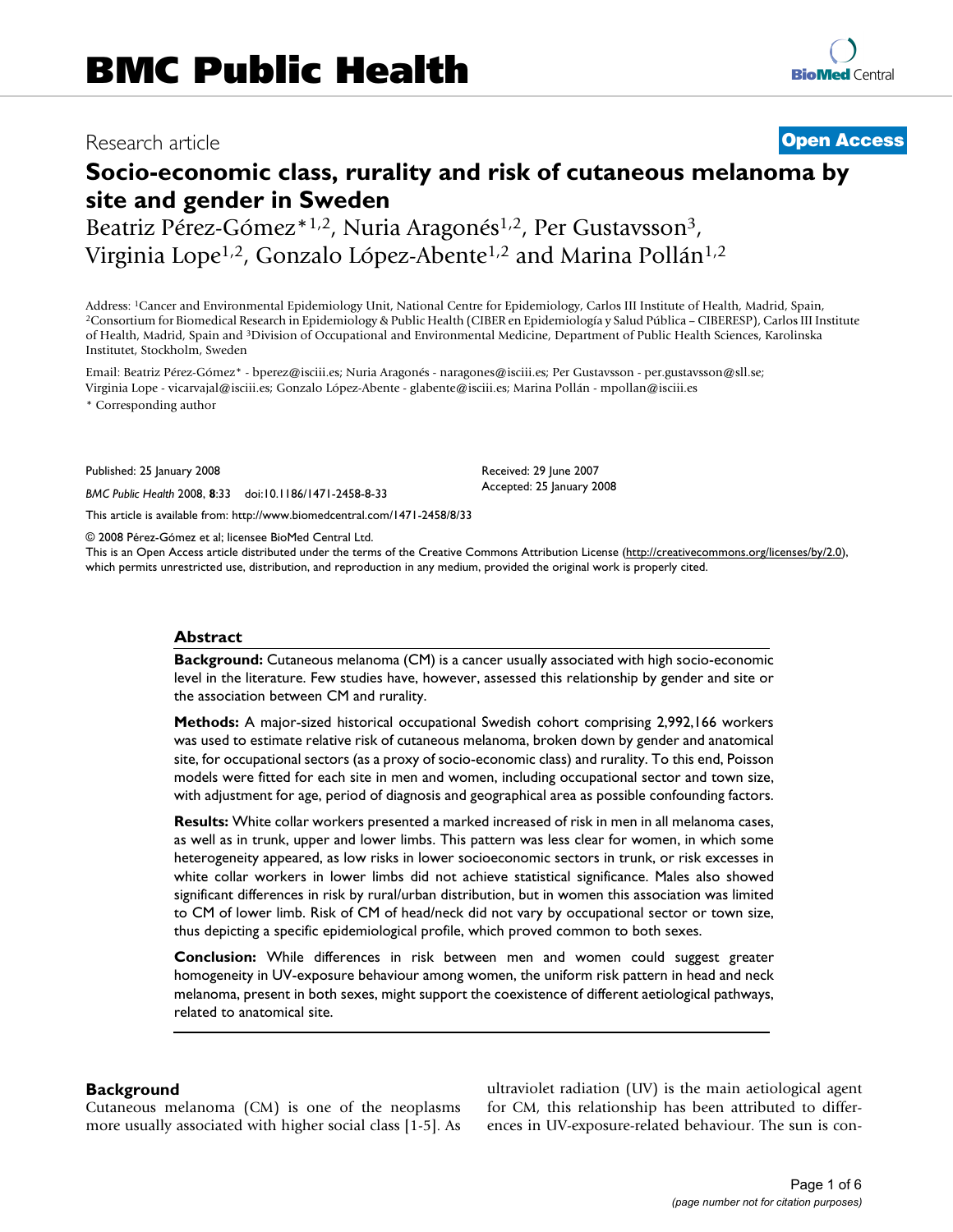# Research article **[Open Access](http://www.biomedcentral.com/info/about/charter/)**

# **Socio-economic class, rurality and risk of cutaneous melanoma by site and gender in Sweden**

Beatriz Pérez-Gómez\*<sup>1,2</sup>, Nuria Aragonés<sup>1,2</sup>, Per Gustavsson<sup>3</sup>, Virginia Lope<sup>1,2</sup>, Gonzalo López-Abente<sup>1,2</sup> and Marina Pollán<sup>1,2</sup>

Address: <sup>1</sup>Cancer and Environmental Epidemiology Unit, National Centre for Epidemiology, Carlos III Institute of Health, Madrid, Spain,<br><sup>2</sup>Consortium for Biomedical Research in Epidemiology & Public Health (CIBER en Epide of Health, Madrid, Spain and 3Division of Occupational and Environmental Medicine, Department of Public Health Sciences, Karolinska Institutet, Stockholm, Sweden

Email: Beatriz Pérez-Gómez\* - bperez@isciii.es; Nuria Aragonés - naragones@isciii.es; Per Gustavsson - per.gustavsson@sll.se; Virginia Lope - vicarvajal@isciii.es; Gonzalo López-Abente - glabente@isciii.es; Marina Pollán - mpollan@isciii.es

\* Corresponding author

Published: 25 January 2008

*BMC Public Health* 2008, **8**:33 doi:10.1186/1471-2458-8-33

[This article is available from: http://www.biomedcentral.com/1471-2458/8/33](http://www.biomedcentral.com/1471-2458/8/33)

© 2008 Pérez-Gómez et al; licensee BioMed Central Ltd.

This is an Open Access article distributed under the terms of the Creative Commons Attribution License [\(http://creativecommons.org/licenses/by/2.0\)](http://creativecommons.org/licenses/by/2.0), which permits unrestricted use, distribution, and reproduction in any medium, provided the original work is properly cited.

Received: 29 June 2007 Accepted: 25 January 2008

#### **Abstract**

**Background:** Cutaneous melanoma (CM) is a cancer usually associated with high socio-economic level in the literature. Few studies have, however, assessed this relationship by gender and site or the association between CM and rurality.

**Methods:** A major-sized historical occupational Swedish cohort comprising 2,992,166 workers was used to estimate relative risk of cutaneous melanoma, broken down by gender and anatomical site, for occupational sectors (as a proxy of socio-economic class) and rurality. To this end, Poisson models were fitted for each site in men and women, including occupational sector and town size, with adjustment for age, period of diagnosis and geographical area as possible confounding factors.

**Results:** White collar workers presented a marked increased of risk in men in all melanoma cases, as well as in trunk, upper and lower limbs. This pattern was less clear for women, in which some heterogeneity appeared, as low risks in lower socioeconomic sectors in trunk, or risk excesses in white collar workers in lower limbs did not achieve statistical significance. Males also showed significant differences in risk by rural/urban distribution, but in women this association was limited to CM of lower limb. Risk of CM of head/neck did not vary by occupational sector or town size, thus depicting a specific epidemiological profile, which proved common to both sexes.

**Conclusion:** While differences in risk between men and women could suggest greater homogeneity in UV-exposure behaviour among women, the uniform risk pattern in head and neck melanoma, present in both sexes, might support the coexistence of different aetiological pathways, related to anatomical site.

### **Background**

Cutaneous melanoma (CM) is one of the neoplasms more usually associated with higher social class [1-5]. As ultraviolet radiation (UV) is the main aetiological agent for CM, this relationship has been attributed to differences in UV-exposure-related behaviour. The sun is con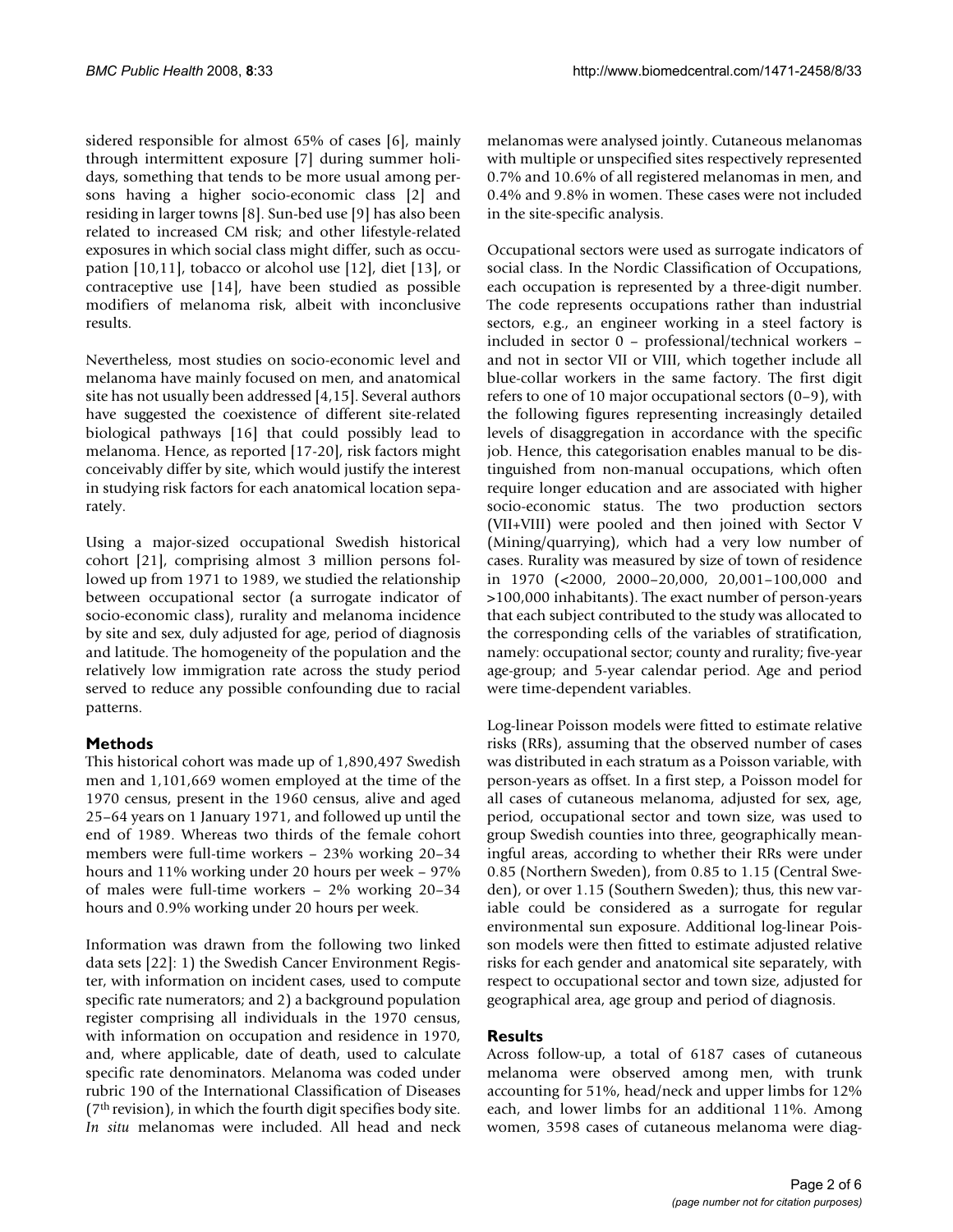sidered responsible for almost 65% of cases [6], mainly through intermittent exposure [7] during summer holidays, something that tends to be more usual among persons having a higher socio-economic class [2] and residing in larger towns [8]. Sun-bed use [9] has also been related to increased CM risk; and other lifestyle-related exposures in which social class might differ, such as occupation [10,11], tobacco or alcohol use [12], diet [13], or contraceptive use [14], have been studied as possible modifiers of melanoma risk, albeit with inconclusive results.

Nevertheless, most studies on socio-economic level and melanoma have mainly focused on men, and anatomical site has not usually been addressed [4,15]. Several authors have suggested the coexistence of different site-related biological pathways [16] that could possibly lead to melanoma. Hence, as reported [17-20], risk factors might conceivably differ by site, which would justify the interest in studying risk factors for each anatomical location separately.

Using a major-sized occupational Swedish historical cohort [21], comprising almost 3 million persons followed up from 1971 to 1989, we studied the relationship between occupational sector (a surrogate indicator of socio-economic class), rurality and melanoma incidence by site and sex, duly adjusted for age, period of diagnosis and latitude. The homogeneity of the population and the relatively low immigration rate across the study period served to reduce any possible confounding due to racial patterns.

# **Methods**

This historical cohort was made up of 1,890,497 Swedish men and 1,101,669 women employed at the time of the 1970 census, present in the 1960 census, alive and aged 25–64 years on 1 January 1971, and followed up until the end of 1989. Whereas two thirds of the female cohort members were full-time workers – 23% working 20–34 hours and 11% working under 20 hours per week – 97% of males were full-time workers – 2% working 20–34 hours and 0.9% working under 20 hours per week.

Information was drawn from the following two linked data sets [22]: 1) the Swedish Cancer Environment Register, with information on incident cases, used to compute specific rate numerators; and 2) a background population register comprising all individuals in the 1970 census, with information on occupation and residence in 1970, and, where applicable, date of death, used to calculate specific rate denominators. Melanoma was coded under rubric 190 of the International Classification of Diseases ( $7<sup>th</sup>$  revision), in which the fourth digit specifies body site. *In situ* melanomas were included. All head and neck

melanomas were analysed jointly. Cutaneous melanomas with multiple or unspecified sites respectively represented 0.7% and 10.6% of all registered melanomas in men, and 0.4% and 9.8% in women. These cases were not included in the site-specific analysis.

Occupational sectors were used as surrogate indicators of social class. In the Nordic Classification of Occupations, each occupation is represented by a three-digit number. The code represents occupations rather than industrial sectors, e.g., an engineer working in a steel factory is included in sector 0 – professional/technical workers – and not in sector VII or VIII, which together include all blue-collar workers in the same factory. The first digit refers to one of 10 major occupational sectors (0–9), with the following figures representing increasingly detailed levels of disaggregation in accordance with the specific job. Hence, this categorisation enables manual to be distinguished from non-manual occupations, which often require longer education and are associated with higher socio-economic status. The two production sectors (VII+VIII) were pooled and then joined with Sector V (Mining/quarrying), which had a very low number of cases. Rurality was measured by size of town of residence in 1970 (<2000, 2000–20,000, 20,001–100,000 and >100,000 inhabitants). The exact number of person-years that each subject contributed to the study was allocated to the corresponding cells of the variables of stratification, namely: occupational sector; county and rurality; five-year age-group; and 5-year calendar period. Age and period were time-dependent variables.

Log-linear Poisson models were fitted to estimate relative risks (RRs), assuming that the observed number of cases was distributed in each stratum as a Poisson variable, with person-years as offset. In a first step, a Poisson model for all cases of cutaneous melanoma, adjusted for sex, age, period, occupational sector and town size, was used to group Swedish counties into three, geographically meaningful areas, according to whether their RRs were under 0.85 (Northern Sweden), from 0.85 to 1.15 (Central Sweden), or over 1.15 (Southern Sweden); thus, this new variable could be considered as a surrogate for regular environmental sun exposure. Additional log-linear Poisson models were then fitted to estimate adjusted relative risks for each gender and anatomical site separately, with respect to occupational sector and town size, adjusted for geographical area, age group and period of diagnosis.

# **Results**

Across follow-up, a total of 6187 cases of cutaneous melanoma were observed among men, with trunk accounting for 51%, head/neck and upper limbs for 12% each, and lower limbs for an additional 11%. Among women, 3598 cases of cutaneous melanoma were diag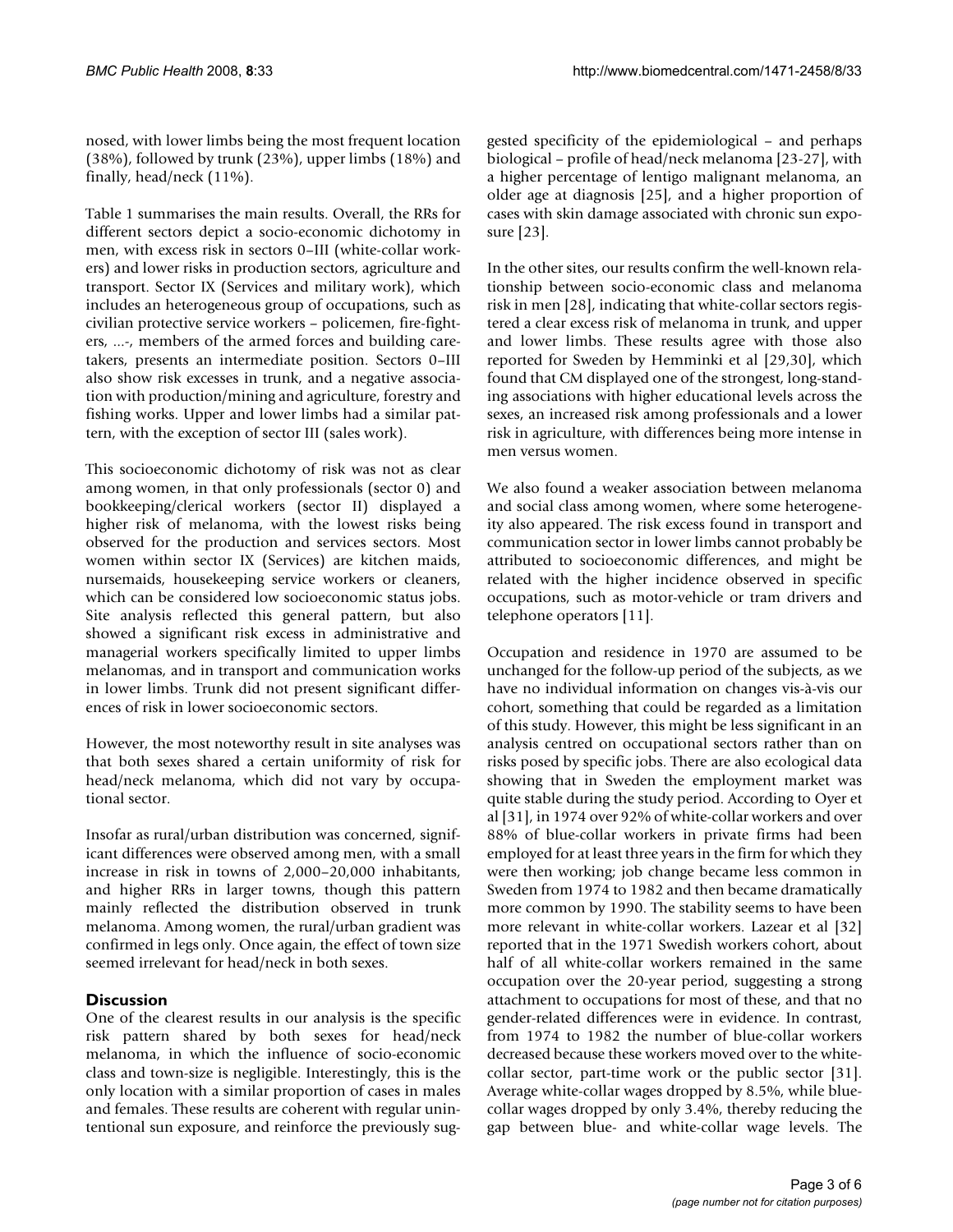nosed, with lower limbs being the most frequent location (38%), followed by trunk (23%), upper limbs (18%) and finally, head/neck (11%).

Table 1 summarises the main results. Overall, the RRs for different sectors depict a socio-economic dichotomy in men, with excess risk in sectors 0–III (white-collar workers) and lower risks in production sectors, agriculture and transport. Sector IX (Services and military work), which includes an heterogeneous group of occupations, such as civilian protective service workers – policemen, fire-fighters, ...-, members of the armed forces and building caretakers, presents an intermediate position. Sectors 0–III also show risk excesses in trunk, and a negative association with production/mining and agriculture, forestry and fishing works. Upper and lower limbs had a similar pattern, with the exception of sector III (sales work).

This socioeconomic dichotomy of risk was not as clear among women, in that only professionals (sector 0) and bookkeeping/clerical workers (sector II) displayed a higher risk of melanoma, with the lowest risks being observed for the production and services sectors. Most women within sector IX (Services) are kitchen maids, nursemaids, housekeeping service workers or cleaners, which can be considered low socioeconomic status jobs. Site analysis reflected this general pattern, but also showed a significant risk excess in administrative and managerial workers specifically limited to upper limbs melanomas, and in transport and communication works in lower limbs. Trunk did not present significant differences of risk in lower socioeconomic sectors.

However, the most noteworthy result in site analyses was that both sexes shared a certain uniformity of risk for head/neck melanoma, which did not vary by occupational sector.

Insofar as rural/urban distribution was concerned, significant differences were observed among men, with a small increase in risk in towns of 2,000–20,000 inhabitants, and higher RRs in larger towns, though this pattern mainly reflected the distribution observed in trunk melanoma. Among women, the rural/urban gradient was confirmed in legs only. Once again, the effect of town size seemed irrelevant for head/neck in both sexes.

### **Discussion**

One of the clearest results in our analysis is the specific risk pattern shared by both sexes for head/neck melanoma, in which the influence of socio-economic class and town-size is negligible. Interestingly, this is the only location with a similar proportion of cases in males and females. These results are coherent with regular unintentional sun exposure, and reinforce the previously suggested specificity of the epidemiological – and perhaps biological – profile of head/neck melanoma [23-27], with a higher percentage of lentigo malignant melanoma, an older age at diagnosis [25], and a higher proportion of cases with skin damage associated with chronic sun exposure [23].

In the other sites, our results confirm the well-known relationship between socio-economic class and melanoma risk in men [28], indicating that white-collar sectors registered a clear excess risk of melanoma in trunk, and upper and lower limbs. These results agree with those also reported for Sweden by Hemminki et al [29,30], which found that CM displayed one of the strongest, long-standing associations with higher educational levels across the sexes, an increased risk among professionals and a lower risk in agriculture, with differences being more intense in men versus women.

We also found a weaker association between melanoma and social class among women, where some heterogeneity also appeared. The risk excess found in transport and communication sector in lower limbs cannot probably be attributed to socioeconomic differences, and might be related with the higher incidence observed in specific occupations, such as motor-vehicle or tram drivers and telephone operators [11].

Occupation and residence in 1970 are assumed to be unchanged for the follow-up period of the subjects, as we have no individual information on changes vis-à-vis our cohort, something that could be regarded as a limitation of this study. However, this might be less significant in an analysis centred on occupational sectors rather than on risks posed by specific jobs. There are also ecological data showing that in Sweden the employment market was quite stable during the study period. According to Oyer et al [31], in 1974 over 92% of white-collar workers and over 88% of blue-collar workers in private firms had been employed for at least three years in the firm for which they were then working; job change became less common in Sweden from 1974 to 1982 and then became dramatically more common by 1990. The stability seems to have been more relevant in white-collar workers. Lazear et al [32] reported that in the 1971 Swedish workers cohort, about half of all white-collar workers remained in the same occupation over the 20-year period, suggesting a strong attachment to occupations for most of these, and that no gender-related differences were in evidence. In contrast, from 1974 to 1982 the number of blue-collar workers decreased because these workers moved over to the whitecollar sector, part-time work or the public sector [31]. Average white-collar wages dropped by 8.5%, while bluecollar wages dropped by only 3.4%, thereby reducing the gap between blue- and white-collar wage levels. The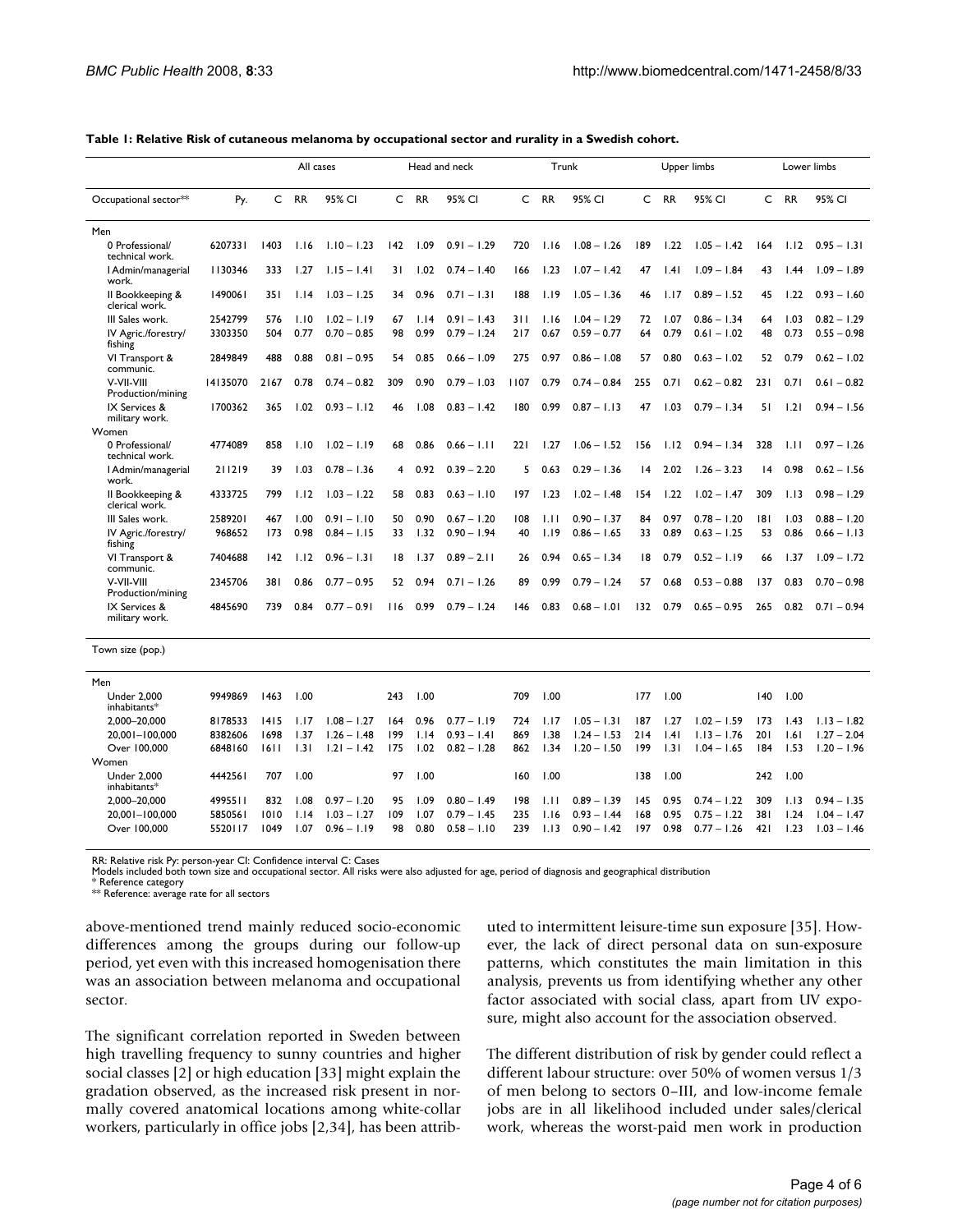|                                    |          | All cases |           |               | Head and neck |           |               | Trunk |           |                 | <b>Upper limbs</b> |           |               | Lower limbs     |           |               |
|------------------------------------|----------|-----------|-----------|---------------|---------------|-----------|---------------|-------|-----------|-----------------|--------------------|-----------|---------------|-----------------|-----------|---------------|
|                                    |          |           |           |               |               |           |               |       |           |                 |                    |           |               |                 |           |               |
| Occupational sector**              | Py.      | C         | <b>RR</b> | 95% CI        | C             | <b>RR</b> | 95% CI        | C     | <b>RR</b> | 95% CI          | C                  | <b>RR</b> | 95% CI        | C               | <b>RR</b> | 95% CI        |
| Men                                |          |           |           |               |               |           |               |       |           |                 |                    |           |               |                 |           |               |
| 0 Professional/<br>technical work. | 6207331  | 1403      | 1.16      | $1.10 - 1.23$ | 142           | 1.09      | $0.91 - 1.29$ | 720   | 1.16      | $1.08 - 1.26$   | 189                | 1.22      | $1.05 - 1.42$ | 164             | 1.12      | $0.95 - 1.31$ |
| I Admin/managerial<br>work.        | 1130346  | 333       | 1.27      | $1.15 - 1.41$ | 31            | 1.02      | $0.74 - 1.40$ | 166   | 1.23      | $1.07 - 1.42$   | 47                 | 1.41      | $1.09 - 1.84$ | 43              | 1.44      | $1.09 - 1.89$ |
| II Bookkeeping &<br>clerical work. | 1490061  | 35 I      | 1.14      | $1.03 - 1.25$ | 34            | 0.96      | $0.71 - 1.31$ | 188   | 1.19      | 1.05<br>$-1.36$ | 46                 | 1.17      | $0.89 - 1.52$ | 45              | 1.22      | $0.93 - 1.60$ |
| III Sales work.                    | 2542799  | 576       | 1.10      | $1.02 - 1.19$ | 67            | 1.14      | $0.91 - 1.43$ | 311   | 1.16      | $1.04 - 1.29$   | 72                 | 1.07      | $0.86 - 1.34$ | 64              | 1.03      | $0.82 - 1.29$ |
| IV Agric./forestry/<br>fishing     | 3303350  | 504       | 0.77      | $0.70 - 0.85$ | 98            | 0.99      | $0.79 - 1.24$ | 217   | 0.67      | $0.59 - 0.77$   | 64                 | 0.79      | $0.61 - 1.02$ | 48              | 0.73      | $0.55 - 0.98$ |
| VI Transport &<br>communic.        | 2849849  | 488       | 0.88      | $0.81 - 0.95$ | 54            | 0.85      | $0.66 - 1.09$ | 275   | 0.97      | $0.86 - 1.08$   | 57                 | 0.80      | $0.63 - 1.02$ | 52              | 0.79      | $0.62 - 1.02$ |
| V-VII-VIII<br>Production/mining    | 14135070 | 2167      | 0.78      | $0.74 - 0.82$ | 309           | 0.90      | $0.79 - 1.03$ | 1107  | 0.79      | $0.74 - 0.84$   | 255                | 0.71      | $0.62 - 0.82$ | 231             | 0.71      | $0.61 - 0.82$ |
| IX Services &<br>military work.    | 1700362  | 365       | 1.02      | $0.93 - 1.12$ | 46            | 1.08      | $0.83 - 1.42$ | 180   | 0.99      | $0.87 - 1.13$   | 47                 | 1.03      | $0.79 - 1.34$ | 51              | 1.21      | $0.94 - 1.56$ |
| Women                              |          |           |           |               |               |           |               |       |           |                 |                    |           |               |                 |           |               |
| 0 Professional/<br>technical work. | 4774089  | 858       | 1.10      | $1.02 - 1.19$ | 68            | 0.86      | $0.66 - 1.11$ | 221   | 1.27      | $1.06 - 1.52$   | 156                | 1.12      | $0.94 - 1.34$ | 328             | 1.11      | $0.97 - 1.26$ |
| I Admin/managerial<br>work.        | 211219   | 39        | 1.03      | $0.78 - 1.36$ | 4             | 0.92      | $0.39 - 2.20$ | 5     | 0.63      | $0.29 - 1.36$   | 4                  | 2.02      | $1.26 - 3.23$ | $\overline{14}$ | 0.98      | $0.62 - 1.56$ |
| II Bookkeeping &<br>clerical work. | 4333725  | 799       | 1.12      | $1.03 - 1.22$ | 58            | 0.83      | $0.63 - 1.10$ | 197   | 1.23      | $1.02 - 1.48$   | 154                | 1.22      | $1.02 - 1.47$ | 309             | 1.13      | $0.98 - 1.29$ |
| III Sales work.                    | 2589201  | 467       | 1.00      | $0.91 - 1.10$ | 50            | 0.90      | $0.67 - 1.20$ | 108   | 1.11      | $0.90 - 1.37$   | 84                 | 0.97      | $0.78 - 1.20$ | 8               | 1.03      | $0.88 - 1.20$ |
| IV Agric./forestry/<br>fishing     | 968652   | 173       | 0.98      | $0.84 - 1.15$ | 33            | 1.32      | $0.90 - 1.94$ | 40    | 1.19      | $0.86 - 1.65$   | 33                 | 0.89      | $0.63 - 1.25$ | 53              | 0.86      | $0.66 - 1.13$ |
| VI Transport &<br>communic.        | 7404688  | 142       | 1.12      | $0.96 - 1.31$ | 18            | 1.37      | $0.89 - 2.11$ | 26    | 0.94      | $0.65 - 1.34$   | 18                 | 0.79      | $0.52 - 1.19$ | 66              | 1.37      | $1.09 - 1.72$ |
| V-VII-VIII<br>Production/mining    | 2345706  | 381       | 0.86      | $0.77 - 0.95$ | 52            | 0.94      | $0.71 - 1.26$ | 89    | 0.99      | $0.79 - 1.24$   | 57                 | 0.68      | $0.53 - 0.88$ | 137             | 0.83      | $0.70 - 0.98$ |
| IX Services &<br>military work.    | 4845690  | 739       | 0.84      | $0.77 - 0.91$ | 116           | 0.99      | $0.79 - 1.24$ | 146   | 0.83      | $0.68 - 1.01$   | 132                | 0.79      | $0.65 - 0.95$ | 265             | 0.82      | $0.71 - 0.94$ |
| Town size (pop.)                   |          |           |           |               |               |           |               |       |           |                 |                    |           |               |                 |           |               |
| Men                                |          |           |           |               |               |           |               |       |           |                 |                    |           |               |                 |           |               |
| <b>Under 2.000</b><br>inhabitants* | 9949869  | 1463      | 1.00      |               | 243           | 1.00      |               | 709   | 1.00      |                 | 177                | 1.00      |               | 140             | 1.00      |               |
| 2,000-20,000                       | 8178533  | 1415      | 1.17      | $1.08 - 1.27$ | 164           | 0.96      | $0.77 - 1.19$ | 724   | 1.17      | $1.05 - 1.31$   | 187                | 1.27      | $1.02 - 1.59$ | 173             | 1.43      | $1.13 - 1.82$ |
| 20.001-100.000                     | 8382606  | 1698      | 1.37      | $1.26 - 1.48$ | 199           | 1.14      | $0.93 - 1.41$ | 869   | 1.38      | $1.24 - 1.53$   | 214                | 1.41      | $1.13 - 1.76$ | 201             | 1.61      | $1.27 - 2.04$ |
| Over 100,000                       | 6848160  | 1611      | 1.31      | $1.21 - 1.42$ | 175           | 1.02      | $0.82 - 1.28$ | 862   | 1.34      | $1.20 - 1.50$   | 199                | 1.31      | $1.04 - 1.65$ | 184             | 1.53      | $1.20 - 1.96$ |
| Women                              |          |           |           |               |               |           |               |       |           |                 |                    |           |               |                 |           |               |
| <b>Under 2.000</b><br>inhabitants* | 4442561  | 707       | 1.00      |               | 97            | 1.00      |               | 160   | 1.00      |                 | 138                | 1.00      |               | 242             | 1.00      |               |
| 2,000-20,000                       | 4995511  | 832       | 1.08      | $0.97 - 1.20$ | 95            | 1.09      | $0.80 - 1.49$ | 198   | 1.11      | $0.89 - 1.39$   | 145                | 0.95      | $0.74 - 1.22$ | 309             | 1.13      | $0.94 - 1.35$ |
| 20,001-100,000                     | 5850561  | 1010      | 1.14      | $1.03 - 1.27$ | 109           | 1.07      | $0.79 - 1.45$ | 235   | 1.16      | $0.93 - 1.44$   | 168                | 0.95      | $0.75 - 1.22$ | 381             | 1.24      | $1.04 - 1.47$ |
| Over 100,000                       | 5520117  | 1049      | 1.07      | $0.96 - 1.19$ | 98            | 0.80      | $0.58 - 1.10$ | 239   | 1.13      | $0.90 - 1.42$   | 197                | 0.98      | $0.77 - 1.26$ | 421             | 1.23      | $1.03 - 1.46$ |

**Table 1: Relative Risk of cutaneous melanoma by occupational sector and rurality in a Swedish cohort.**

RR: Relative risk Py: person-year CI: Confidence interval C: Cases

Models included both town size and occupational sector. All risks were also adjusted for age, period of diagnosis and geographical distribution

\* Reference category \*\* Reference: average rate for all sectors

above-mentioned trend mainly reduced socio-economic differences among the groups during our follow-up period, yet even with this increased homogenisation there was an association between melanoma and occupational sector.

The significant correlation reported in Sweden between high travelling frequency to sunny countries and higher social classes [2] or high education [33] might explain the gradation observed, as the increased risk present in normally covered anatomical locations among white-collar workers, particularly in office jobs [2,34], has been attributed to intermittent leisure-time sun exposure [35]. However, the lack of direct personal data on sun-exposure patterns, which constitutes the main limitation in this analysis, prevents us from identifying whether any other factor associated with social class, apart from UV exposure, might also account for the association observed.

The different distribution of risk by gender could reflect a different labour structure: over 50% of women versus 1/3 of men belong to sectors 0–III, and low-income female jobs are in all likelihood included under sales/clerical work, whereas the worst-paid men work in production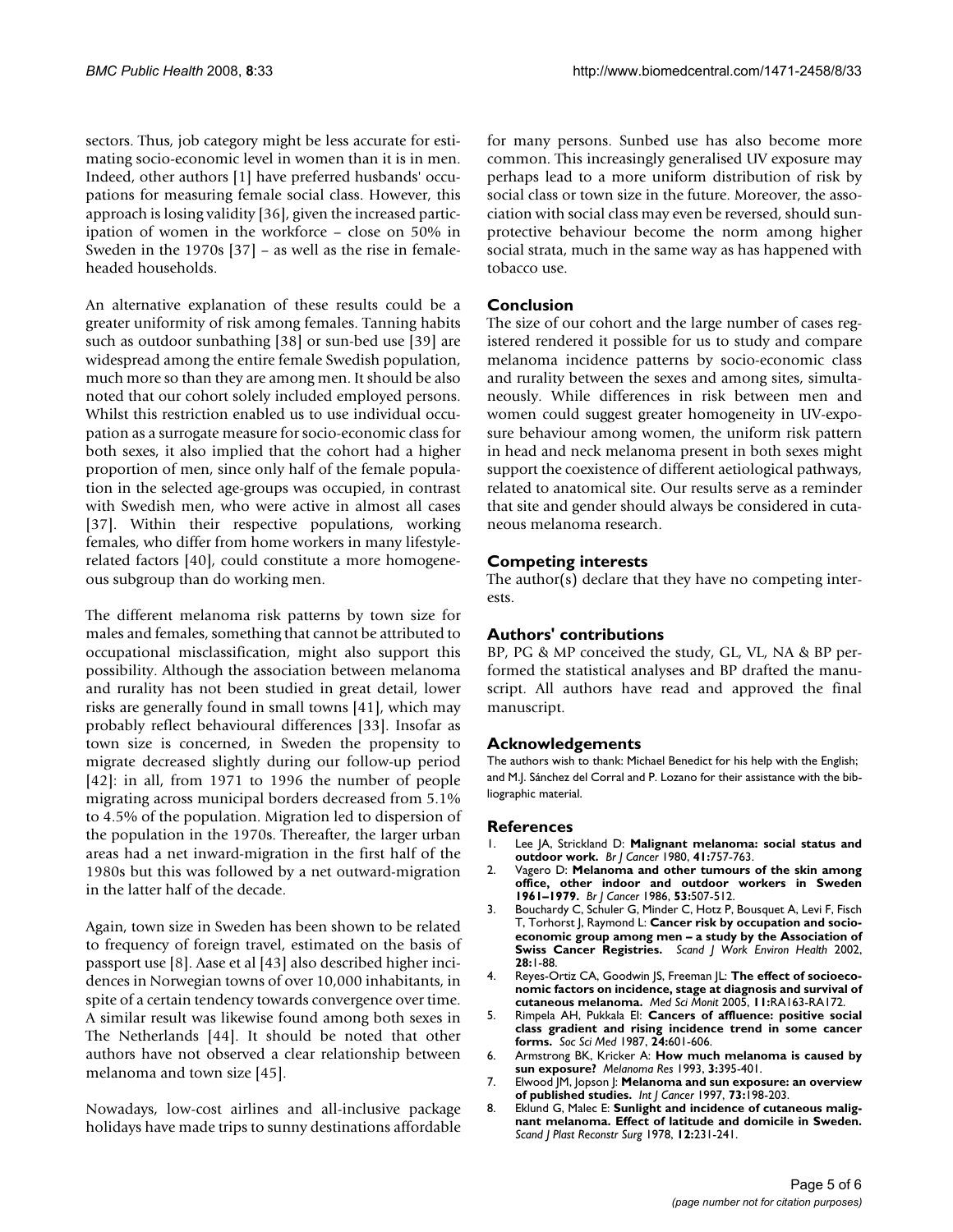sectors. Thus, job category might be less accurate for estimating socio-economic level in women than it is in men. Indeed, other authors [1] have preferred husbands' occupations for measuring female social class. However, this approach is losing validity [36], given the increased participation of women in the workforce – close on 50% in Sweden in the 1970s [37] – as well as the rise in femaleheaded households.

An alternative explanation of these results could be a greater uniformity of risk among females. Tanning habits such as outdoor sunbathing [38] or sun-bed use [39] are widespread among the entire female Swedish population, much more so than they are among men. It should be also noted that our cohort solely included employed persons. Whilst this restriction enabled us to use individual occupation as a surrogate measure for socio-economic class for both sexes, it also implied that the cohort had a higher proportion of men, since only half of the female population in the selected age-groups was occupied, in contrast with Swedish men, who were active in almost all cases [37]. Within their respective populations, working females, who differ from home workers in many lifestylerelated factors [40], could constitute a more homogeneous subgroup than do working men.

The different melanoma risk patterns by town size for males and females, something that cannot be attributed to occupational misclassification, might also support this possibility. Although the association between melanoma and rurality has not been studied in great detail, lower risks are generally found in small towns [41], which may probably reflect behavioural differences [33]. Insofar as town size is concerned, in Sweden the propensity to migrate decreased slightly during our follow-up period [42]: in all, from 1971 to 1996 the number of people migrating across municipal borders decreased from 5.1% to 4.5% of the population. Migration led to dispersion of the population in the 1970s. Thereafter, the larger urban areas had a net inward-migration in the first half of the 1980s but this was followed by a net outward-migration in the latter half of the decade.

Again, town size in Sweden has been shown to be related to frequency of foreign travel, estimated on the basis of passport use [8]. Aase et al [43] also described higher incidences in Norwegian towns of over 10,000 inhabitants, in spite of a certain tendency towards convergence over time. A similar result was likewise found among both sexes in The Netherlands [44]. It should be noted that other authors have not observed a clear relationship between melanoma and town size [45].

Nowadays, low-cost airlines and all-inclusive package holidays have made trips to sunny destinations affordable for many persons. Sunbed use has also become more common. This increasingly generalised UV exposure may perhaps lead to a more uniform distribution of risk by social class or town size in the future. Moreover, the association with social class may even be reversed, should sunprotective behaviour become the norm among higher social strata, much in the same way as has happened with tobacco use.

## **Conclusion**

The size of our cohort and the large number of cases registered rendered it possible for us to study and compare melanoma incidence patterns by socio-economic class and rurality between the sexes and among sites, simultaneously. While differences in risk between men and women could suggest greater homogeneity in UV-exposure behaviour among women, the uniform risk pattern in head and neck melanoma present in both sexes might support the coexistence of different aetiological pathways, related to anatomical site. Our results serve as a reminder that site and gender should always be considered in cutaneous melanoma research.

### **Competing interests**

The author(s) declare that they have no competing interests.

### **Authors' contributions**

BP, PG & MP conceived the study, GL, VL, NA & BP performed the statistical analyses and BP drafted the manuscript. All authors have read and approved the final manuscript.

#### **Acknowledgements**

The authors wish to thank: Michael Benedict for his help with the English; and M.J. Sánchez del Corral and P. Lozano for their assistance with the bibliographic material.

#### **References**

- 1. Lee JA, Strickland D: **[Malignant melanoma: social status and](http://www.ncbi.nlm.nih.gov/entrez/query.fcgi?cmd=Retrieve&db=PubMed&dopt=Abstract&list_uids=7426301) [outdoor work.](http://www.ncbi.nlm.nih.gov/entrez/query.fcgi?cmd=Retrieve&db=PubMed&dopt=Abstract&list_uids=7426301)** *Br J Cancer* 1980, **41:**757-763.
- 2. Vagero D: **[Melanoma and other tumours of the skin among](http://www.ncbi.nlm.nih.gov/entrez/query.fcgi?cmd=Retrieve&db=PubMed&dopt=Abstract&list_uids=3707844) [office, other indoor and outdoor workers in Sweden](http://www.ncbi.nlm.nih.gov/entrez/query.fcgi?cmd=Retrieve&db=PubMed&dopt=Abstract&list_uids=3707844) [1961–1979.](http://www.ncbi.nlm.nih.gov/entrez/query.fcgi?cmd=Retrieve&db=PubMed&dopt=Abstract&list_uids=3707844)** *Br J Cancer* 1986, **53:**507-512.
- 3. Bouchardy C, Schuler G, Minder C, Hotz P, Bousquet A, Levi F, Fisch T, Torhorst J, Raymond L: **[Cancer risk by occupation and socio](http://www.ncbi.nlm.nih.gov/entrez/query.fcgi?cmd=Retrieve&db=PubMed&dopt=Abstract&list_uids=11871426)[economic group among men – a study by the Association of](http://www.ncbi.nlm.nih.gov/entrez/query.fcgi?cmd=Retrieve&db=PubMed&dopt=Abstract&list_uids=11871426) [Swiss Cancer Registries.](http://www.ncbi.nlm.nih.gov/entrez/query.fcgi?cmd=Retrieve&db=PubMed&dopt=Abstract&list_uids=11871426)** *Scand J Work Environ Health* 2002, **28:**1-88.
- 4. Reyes-Ortiz CA, Goodwin JS, Freeman JL: **[The effect of socioeco](http://www.ncbi.nlm.nih.gov/entrez/query.fcgi?cmd=Retrieve&db=PubMed&dopt=Abstract&list_uids=15874907)[nomic factors on incidence, stage at diagnosis and survival of](http://www.ncbi.nlm.nih.gov/entrez/query.fcgi?cmd=Retrieve&db=PubMed&dopt=Abstract&list_uids=15874907) [cutaneous melanoma.](http://www.ncbi.nlm.nih.gov/entrez/query.fcgi?cmd=Retrieve&db=PubMed&dopt=Abstract&list_uids=15874907)** *Med Sci Monit* 2005, **11:**RA163-RA172.
- 5. Rimpela AH, Pukkala EI: **[Cancers of affluence: positive social](http://www.ncbi.nlm.nih.gov/entrez/query.fcgi?cmd=Retrieve&db=PubMed&dopt=Abstract&list_uids=3589754) [class gradient and rising incidence trend in some cancer](http://www.ncbi.nlm.nih.gov/entrez/query.fcgi?cmd=Retrieve&db=PubMed&dopt=Abstract&list_uids=3589754) [forms.](http://www.ncbi.nlm.nih.gov/entrez/query.fcgi?cmd=Retrieve&db=PubMed&dopt=Abstract&list_uids=3589754)** *Soc Sci Med* 1987, **24:**601-606.
- 6. Armstrong BK, Kricker A: **[How much melanoma is caused by](http://www.ncbi.nlm.nih.gov/entrez/query.fcgi?cmd=Retrieve&db=PubMed&dopt=Abstract&list_uids=8161879) [sun exposure?](http://www.ncbi.nlm.nih.gov/entrez/query.fcgi?cmd=Retrieve&db=PubMed&dopt=Abstract&list_uids=8161879)** *Melanoma Res* 1993, **3:**395-401.
- 7. Elwood JM, Jopson J: **[Melanoma and sun exposure: an overview](http://www.ncbi.nlm.nih.gov/entrez/query.fcgi?cmd=Retrieve&db=PubMed&dopt=Abstract&list_uids=9335442) [of published studies.](http://www.ncbi.nlm.nih.gov/entrez/query.fcgi?cmd=Retrieve&db=PubMed&dopt=Abstract&list_uids=9335442)** *Int J Cancer* 1997, **73:**198-203.
- 8. Eklund G, Malec E: **[Sunlight and incidence of cutaneous malig](http://www.ncbi.nlm.nih.gov/entrez/query.fcgi?cmd=Retrieve&db=PubMed&dopt=Abstract&list_uids=741212)[nant melanoma. Effect of latitude and domicile in Sweden.](http://www.ncbi.nlm.nih.gov/entrez/query.fcgi?cmd=Retrieve&db=PubMed&dopt=Abstract&list_uids=741212)** *Scand J Plast Reconstr Surg* 1978, **12:**231-241.